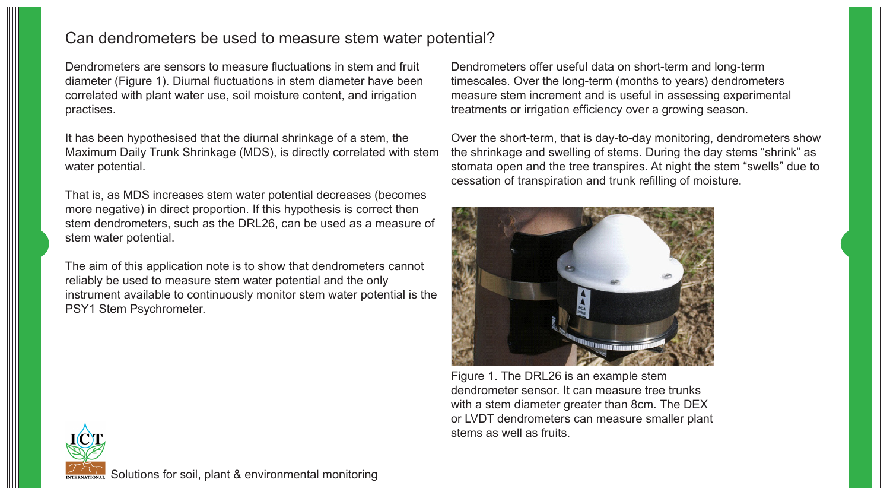## Can dendrometers be used to measure stem water potential?

Dendrometers are sensors to measure fluctuations in stem and fruit diameter (Figure 1). Diurnal fluctuations in stem diameter have been correlated with plant water use, soil moisture content, and irrigation practises.

It has been hypothesised that the diurnal shrinkage of a stem, the Maximum Daily Trunk Shrinkage (MDS), is directly correlated with stem water potential.

That is, as MDS increases stem water potential decreases (becomes more negative) in direct proportion. If this hypothesis is correct then stem dendrometers, such as the DRL26, can be used as a measure of stem water potential.

The aim of this application note is to show that dendrometers cannot reliably be used to measure stem water potential and the only instrument available to continuously monitor stem water potential is the PSY1 Stem Psychrometer.

Dendrometers offer useful data on short-term and long-term timescales. Over the long-term (months to years) dendrometers measure stem increment and is useful in assessing experimental treatments or irrigation efficiency over a growing season.

Over the short-term, that is day-to-day monitoring, dendrometers show the shrinkage and swelling of stems. During the day stems "shrink" as stomata open and the tree transpires. At night the stem "swells" due to cessation of transpiration and trunk refilling of moisture.



Figure 1. The DRL26 is an example stem dendrometer sensor. It can measure tree trunks with a stem diameter greater than 8cm. The DEX or LVDT dendrometers can measure smaller plant stems as well as fruits.



Solutions for soil, plant & environmental monitoring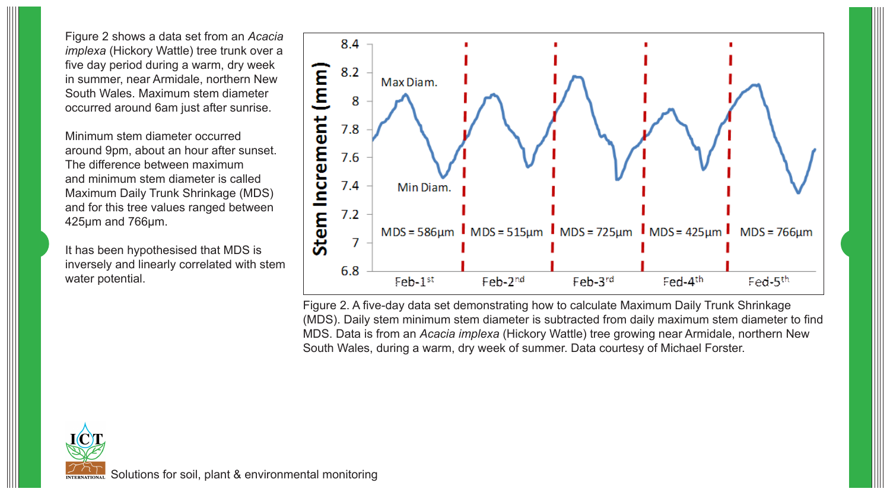Figure 2 shows a data set from an *Acacia implexa* (Hickory Wattle) tree trunk over a five day period during a warm, dry week in summer, near Armidale, northern New South Wales. Maximum stem diameter occurred around 6am just after sunrise.

Minimum stem diameter occurred around 9pm, about an hour after sunset. The difference between maximum and minimum stem diameter is called Maximum Daily Trunk Shrinkage (MDS) and for this tree values ranged between 425µm and 766µm.

It has been hypothesised that MDS is inversely and linearly correlated with stem water potential.



Figure 2. A five-day data set demonstrating how to calculate Maximum Daily Trunk Shrinkage (MDS). Daily stem minimum stem diameter is subtracted from daily maximum stem diameter to find MDS. Data is from an *Acacia implexa* (Hickory Wattle) tree growing near Armidale, northern New South Wales, during a warm, dry week of summer. Data courtesy of Michael Forster.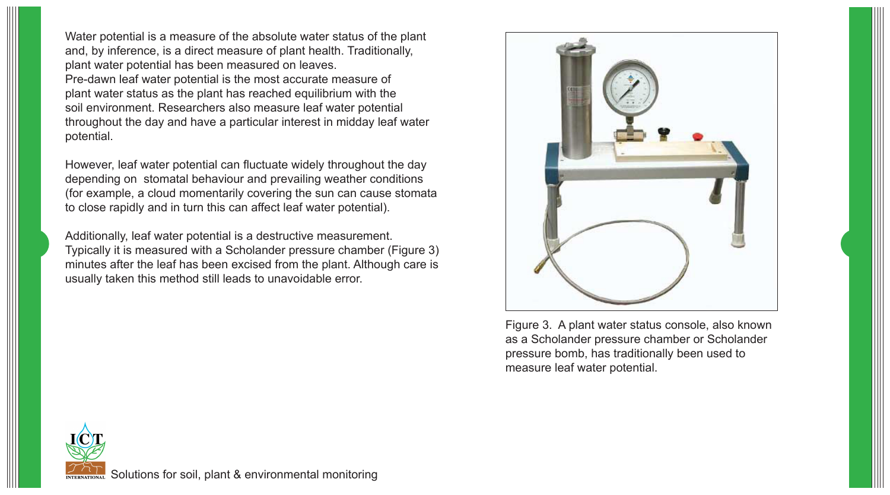Water potential is a measure of the absolute water status of the plant and, by inference, is a direct measure of plant health. Traditionally, plant water potential has been measured on leaves. Pre-dawn leaf water potential is the most accurate measure of plant water status as the plant has reached equilibrium with the soil environment. Researchers also measure leaf water potential throughout the day and have a particular interest in midday leaf water potential.

However, leaf water potential can fluctuate widely throughout the day depending on stomatal behaviour and prevailing weather conditions (for example, a cloud momentarily covering the sun can cause stomata to close rapidly and in turn this can affect leaf water potential).

Additionally, leaf water potential is a destructive measurement. Typically it is measured with a Scholander pressure chamber (Figure 3) minutes after the leaf has been excised from the plant. Although care is usually taken this method still leads to unavoidable error.



Figure 3. A plant water status console, also known as a Scholander pressure chamber or Scholander pressure bomb, has traditionally been used to measure leaf water potential.

Solutions for soil, plant & environmental monitoring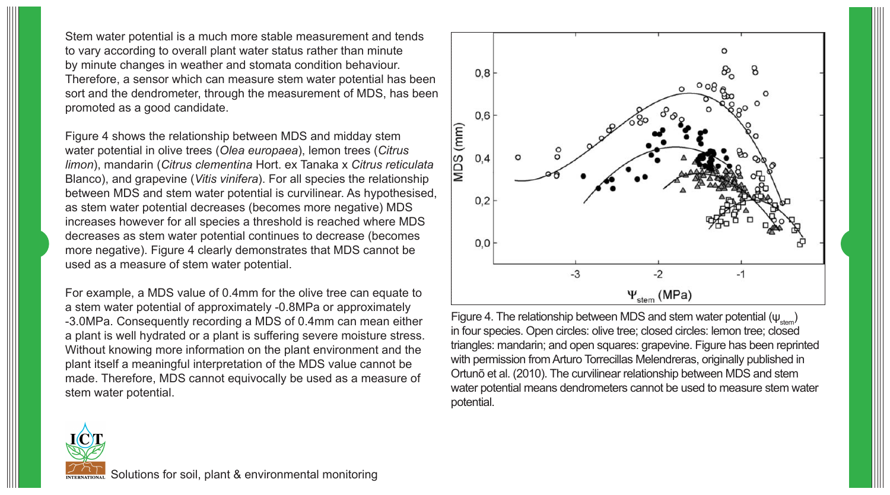Stem water potential is a much more stable measurement and tends to vary according to overall plant water status rather than minute by minute changes in weather and stomata condition behaviour. Therefore, a sensor which can measure stem water potential has been sort and the dendrometer, through the measurement of MDS, has been promoted as a good candidate.

Figure 4 shows the relationship between MDS and midday stem water potential in olive trees (*Olea europaea*), lemon trees (*Citrus limon*), mandarin (*Citrus clementina* Hort. ex Tanaka x *Citrus reticulata* Blanco), and grapevine (*Vitis vinifera*). For all species the relationship between MDS and stem water potential is curvilinear. As hypothesised, as stem water potential decreases (becomes more negative) MDS increases however for all species a threshold is reached where MDS decreases as stem water potential continues to decrease (becomes more negative). Figure 4 clearly demonstrates that MDS cannot be used as a measure of stem water potential.

For example, a MDS value of 0.4mm for the olive tree can equate to a stem water potential of approximately -0.8MPa or approximately -3.0MPa. Consequently recording a MDS of 0.4mm can mean either a plant is well hydrated or a plant is suffering severe moisture stress. Without knowing more information on the plant environment and the plant itself a meaningful interpretation of the MDS value cannot be made. Therefore, MDS cannot equivocally be used as a measure of stem water potential.



Figure 4. The relationship between MDS and stem water potential  $(\psi_{\text{atom}})$ in four species. Open circles: olive tree; closed circles: lemon tree; closed triangles: mandarin; and open squares: grapevine. Figure has been reprinted with permission from Arturo Torrecillas Melendreras, originally published in Ortunõ et al. (2010). The curvilinear relationship between MDS and stem water potential means dendrometers cannot be used to measure stem water potential.

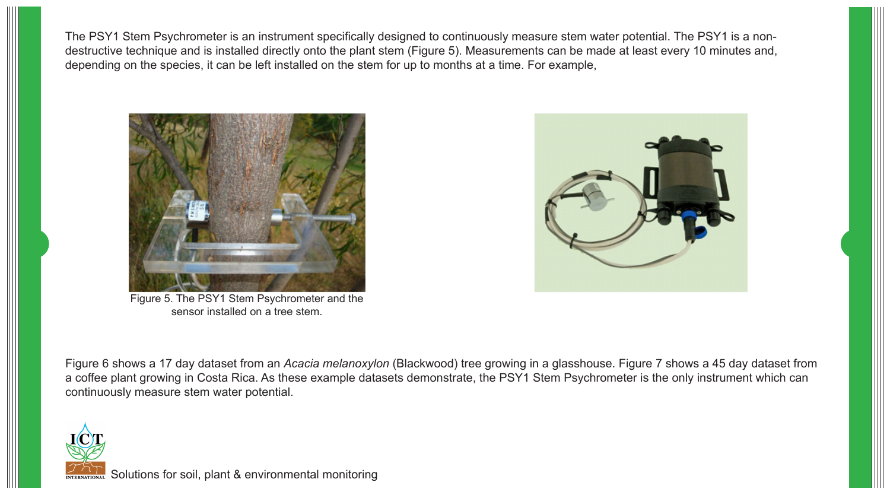The PSY1 Stem Psychrometer is an instrument specifically designed to continuously measure stem water potential. The PSY1 is a nondestructive technique and is installed directly onto the plant stem (Figure 5). Measurements can be made at least every 10 minutes and, depending on the species, it can be left installed on the stem for up to months at a time. For example,



Figure 5. The PSY1 Stem Psychrometer and the sensor installed on a tree stem.



Figure 6 shows a 17 day dataset from an *Acacia melanoxylon* (Blackwood) tree growing in a glasshouse. Figure 7 shows a 45 day dataset from a coffee plant growing in Costa Rica. As these example datasets demonstrate, the PSY1 Stem Psychrometer is the only instrument which can continuously measure stem water potential.